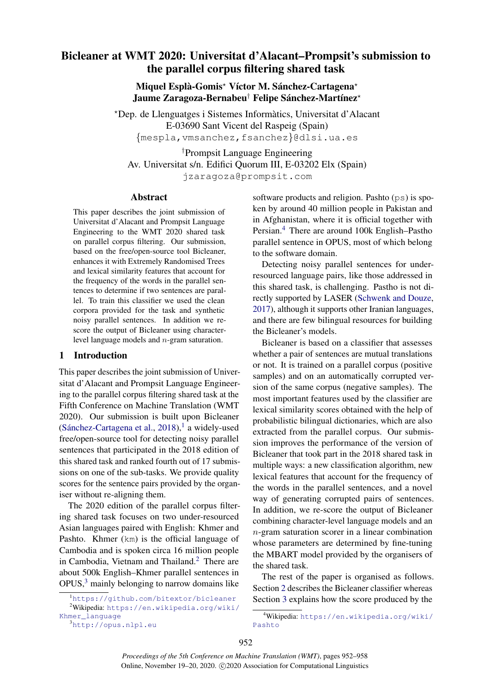# Bicleaner at WMT 2020: Universitat d'Alacant–Prompsit's submission to the parallel corpus filtering shared task

Miquel Esplà-Gomis\* Víctor M. Sánchez-Cartagena\* Jaume Zaragoza-Bernabeu<sup>†</sup> Felipe Sánchez-Martínez<sup>\*</sup>

?Dep. de Llenguatges i Sistemes Informatics, Universitat d'Alacant ` E-03690 Sant Vicent del Raspeig (Spain) {mespla,vmsanchez,fsanchez}@dlsi.ua.es

†Prompsit Language Engineering Av. Universitat s/n. Edifici Quorum III, E-03202 Elx (Spain) jzaragoza@prompsit.com

#### Abstract

This paper describes the joint submission of Universitat d'Alacant and Prompsit Language Engineering to the WMT 2020 shared task on parallel corpus filtering. Our submission, based on the free/open-source tool Bicleaner, enhances it with Extremely Randomised Trees and lexical similarity features that account for the frequency of the words in the parallel sentences to determine if two sentences are parallel. To train this classifier we used the clean corpora provided for the task and synthetic noisy parallel sentences. In addition we rescore the output of Bicleaner using characterlevel language models and n-gram saturation.

#### 1 Introduction

This paper describes the joint submission of Universitat d'Alacant and Prompsit Language Engineering to the parallel corpus filtering shared task at the Fifth Conference on Machine Translation (WMT 2020). Our submission is built upon Bicleaner (Sánchez-Cartagena et al.,  $2018$  $2018$  $2018$ ),<sup>1</sup> a widely-used free/open-source tool for detecting noisy parallel sentences that participated in the 2018 edition of this shared task and ranked fourth out of 17 submissions on one of the sub-tasks. We provide quality scores for the sentence pairs provided by the organiser without re-aligning them.

The 2020 edition of the parallel corpus filtering shared task focuses on two under-resourced Asian languages paired with English: Khmer and Pashto. Khmer (km) is the official language of Cambodia and is spoken circa 16 million people in Cambodia, Vietnam and Thailand.<sup>[2](#page-0-1)</sup> There are about 500k English–Khmer parallel sentences in  $OPUS<sub>3</sub><sup>3</sup>$  $OPUS<sub>3</sub><sup>3</sup>$  $OPUS<sub>3</sub><sup>3</sup>$  mainly belonging to narrow domains like

<span id="page-0-2"></span><sup>3</sup><http://opus.nlpl.eu>

software products and religion. Pashto (ps) is spoken by around 40 million people in Pakistan and in Afghanistan, where it is official together with Persian.[4](#page-0-3) There are around 100k English–Pastho parallel sentence in OPUS, most of which belong to the software domain.

Detecting noisy parallel sentences for underresourced language pairs, like those addressed in this shared task, is challenging. Pastho is not directly supported by LASER [\(Schwenk and Douze,](#page-6-1) [2017\)](#page-6-1), although it supports other Iranian languages, and there are few bilingual resources for building the Bicleaner's models.

Bicleaner is based on a classifier that assesses whether a pair of sentences are mutual translations or not. It is trained on a parallel corpus (positive samples) and on an automatically corrupted version of the same corpus (negative samples). The most important features used by the classifier are lexical similarity scores obtained with the help of probabilistic bilingual dictionaries, which are also extracted from the parallel corpus. Our submission improves the performance of the version of Bicleaner that took part in the 2018 shared task in multiple ways: a new classification algorithm, new lexical features that account for the frequency of the words in the parallel sentences, and a novel way of generating corrupted pairs of sentences. In addition, we re-score the output of Bicleaner combining character-level language models and an n-gram saturation scorer in a linear combination whose parameters are determined by fine-tuning the MBART model provided by the organisers of the shared task.

The rest of the paper is organised as follows. Section [2](#page-1-0) describes the Bicleaner classifier whereas Section [3](#page-3-0) explains how the score produced by the

<span id="page-0-1"></span><span id="page-0-0"></span><sup>1</sup><https://github.com/bitextor/bicleaner> <sup>2</sup>Wikipedia: [https://en.wikipedia.org/wiki/](https://en.wikipedia.org/wiki/Khmer_language) [Khmer\\_language](https://en.wikipedia.org/wiki/Khmer_language)

<span id="page-0-3"></span><sup>4</sup>Wikipedia: [https://en.wikipedia.org/wiki/](https://en.wikipedia.org/wiki/Pashto) [Pashto](https://en.wikipedia.org/wiki/Pashto)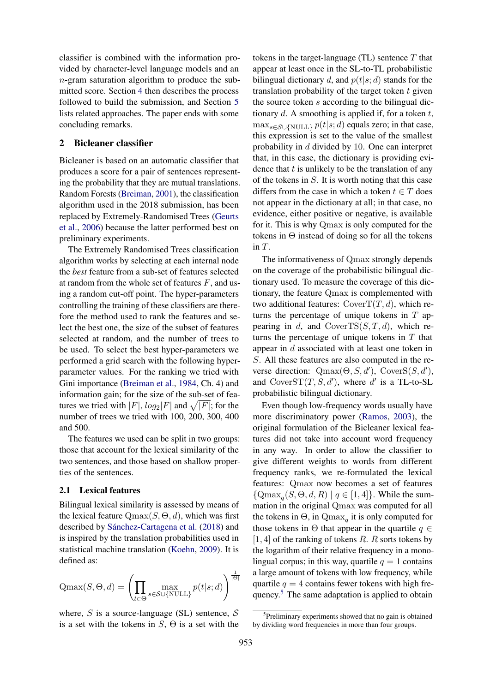classifier is combined with the information provided by character-level language models and an n-gram saturation algorithm to produce the submitted score. Section [4](#page-3-1) then describes the process followed to build the submission, and Section [5](#page-4-0) lists related approaches. The paper ends with some concluding remarks.

### <span id="page-1-0"></span>2 Bicleaner classifier

Bicleaner is based on an automatic classifier that produces a score for a pair of sentences representing the probability that they are mutual translations. Random Forests [\(Breiman,](#page-6-2) [2001\)](#page-6-2), the classification algorithm used in the 2018 submission, has been replaced by Extremely-Randomised Trees [\(Geurts](#page-6-3) [et al.,](#page-6-3) [2006\)](#page-6-3) because the latter performed best on preliminary experiments.

The Extremely Randomised Trees classification algorithm works by selecting at each internal node the *best* feature from a sub-set of features selected at random from the whole set of features  $F$ , and using a random cut-off point. The hyper-parameters controlling the training of these classifiers are therefore the method used to rank the features and select the best one, the size of the subset of features selected at random, and the number of trees to be used. To select the best hyper-parameters we performed a grid search with the following hyperparameter values. For the ranking we tried with Gini importance [\(Breiman et al.,](#page-6-4) [1984,](#page-6-4) Ch. 4) and information gain; for the size of the sub-set of features we tried with  $|F|$ ,  $log_2|F|$  and  $\sqrt{|F|}$ ; for the number of trees we tried with 100, 200, 300, 400 and 500.

The features we used can be split in two groups: those that account for the lexical similarity of the two sentences, and those based on shallow properties of the sentences.

# <span id="page-1-2"></span>2.1 Lexical features

Bilingual lexical similarity is assessed by means of the lexical feature  $Qmax(S, \Theta, d)$ , which was first described by Sánchez-Cartagena et al. [\(2018\)](#page-6-0) and is inspired by the translation probabilities used in statistical machine translation [\(Koehn,](#page-6-5) [2009\)](#page-6-5). It is defined as:

$$
\text{Qmax}(S, \Theta, d) = \left(\prod_{t \in \Theta} \max_{s \in \mathcal{S} \cup \{\text{NULL}\}} p(t|s; d)\right)^{\frac{1}{|\Theta|}}
$$

where, S is a source-language (SL) sentence,  $S$ is a set with the tokens in  $S$ ,  $\Theta$  is a set with the tokens in the target-language (TL) sentence  $T$  that appear at least once in the SL-to-TL probabilistic bilingual dictionary d, and  $p(t|s; d)$  stands for the translation probability of the target token  $t$  given the source token s according to the bilingual dictionary  $d$ . A smoothing is applied if, for a token  $t$ ,  $\max_{s \in \mathcal{S} \cup \{ \text{NULL} \}} p(t|s; d)$  equals zero; in that case, this expression is set to the value of the smallest probability in  $d$  divided by 10. One can interpret that, in this case, the dictionary is providing evidence that  $t$  is unlikely to be the translation of any of the tokens in  $S$ . It is worth noting that this case differs from the case in which a token  $t \in T$  does not appear in the dictionary at all; in that case, no evidence, either positive or negative, is available for it. This is why Qmax is only computed for the tokens in Θ instead of doing so for all the tokens in T.

The informativeness of Qmax strongly depends on the coverage of the probabilistic bilingual dictionary used. To measure the coverage of this dictionary, the feature Qmax is complemented with two additional features:  $\text{CoverT}(T, d)$ , which returns the percentage of unique tokens in  $T$  appearing in  $d$ , and  $CoverTS(S, T, d)$ , which returns the percentage of unique tokens in  $T$  that appear in d associated with at least one token in S. All these features are also computed in the reverse direction:  $Qmax(\Theta, S, d')$ , CoverS $(S, d')$ , and  $\text{CoverST}(T, S, d')$ , where d' is a TL-to-SL probabilistic bilingual dictionary.

Even though low-frequency words usually have more discriminatory power [\(Ramos,](#page-6-6) [2003\)](#page-6-6), the original formulation of the Bicleaner lexical features did not take into account word frequency in any way. In order to allow the classifier to give different weights to words from different frequency ranks, we re-formulated the lexical features: Qmax now becomes a set of features  $\{Qmax_q(S, \Theta, d, R) \mid q \in [1, 4]\}.$  While the summation in the original Qmax was computed for all the tokens in  $\Theta$ , in  $Qmax_q$  it is only computed for those tokens in  $\Theta$  that appear in the quartile  $q \in$  $[1, 4]$  of the ranking of tokens R. R sorts tokens by the logarithm of their relative frequency in a monolingual corpus; in this way, quartile  $q = 1$  contains a large amount of tokens with low frequency, while quartile  $q = 4$  contains fewer tokens with high fre-quency.<sup>[5](#page-1-1)</sup> The same adaptation is applied to obtain

<span id="page-1-1"></span><sup>&</sup>lt;sup>5</sup>Preliminary experiments showed that no gain is obtained by dividing word frequencies in more than four groups.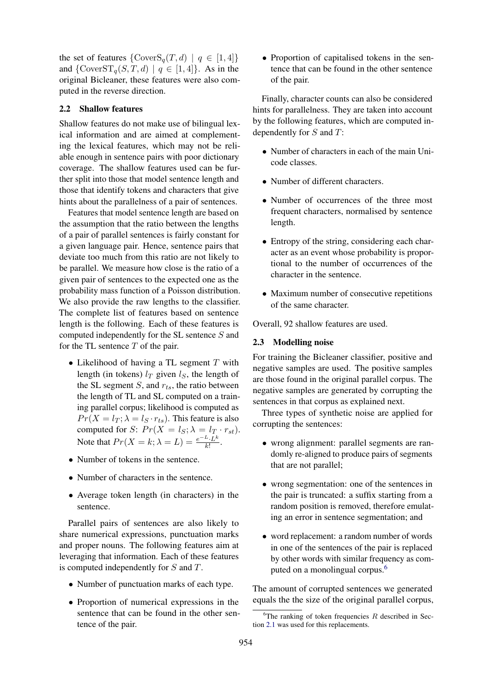the set of features  $\{CoverS_q(T, d) | q \in [1, 4]\}$ and  $\{\text{CoverST}_q(S, T, d) \mid q \in [1, 4]\}.$  As in the original Bicleaner, these features were also computed in the reverse direction.

#### 2.2 Shallow features

Shallow features do not make use of bilingual lexical information and are aimed at complementing the lexical features, which may not be reliable enough in sentence pairs with poor dictionary coverage. The shallow features used can be further split into those that model sentence length and those that identify tokens and characters that give hints about the parallelness of a pair of sentences.

Features that model sentence length are based on the assumption that the ratio between the lengths of a pair of parallel sentences is fairly constant for a given language pair. Hence, sentence pairs that deviate too much from this ratio are not likely to be parallel. We measure how close is the ratio of a given pair of sentences to the expected one as the probability mass function of a Poisson distribution. We also provide the raw lengths to the classifier. The complete list of features based on sentence length is the following. Each of these features is computed independently for the SL sentence S and for the TL sentence  $T$  of the pair.

- Likelihood of having a TL segment  $T$  with length (in tokens)  $l_T$  given  $l_S$ , the length of the SL segment  $S$ , and  $r_{ts}$ , the ratio between the length of TL and SL computed on a training parallel corpus; likelihood is computed as  $Pr(X = l_T; \lambda = l_S \cdot r_{ts})$ . This feature is also computed for S:  $Pr(X = l_S; \lambda = l_T \cdot r_{st})$ . Note that  $Pr(X = k; \lambda = L) = \frac{e^{-L} \cdot L^k}{k!}$ .
- Number of tokens in the sentence.
- Number of characters in the sentence.
- Average token length (in characters) in the sentence.

Parallel pairs of sentences are also likely to share numerical expressions, punctuation marks and proper nouns. The following features aim at leveraging that information. Each of these features is computed independently for S and T.

- Number of punctuation marks of each type.
- Proportion of numerical expressions in the sentence that can be found in the other sentence of the pair.

• Proportion of capitalised tokens in the sentence that can be found in the other sentence of the pair.

Finally, character counts can also be considered hints for parallelness. They are taken into account by the following features, which are computed independently for  $S$  and  $T$ :

- Number of characters in each of the main Unicode classes.
- Number of different characters.
- Number of occurrences of the three most frequent characters, normalised by sentence length.
- Entropy of the string, considering each character as an event whose probability is proportional to the number of occurrences of the character in the sentence.
- Maximum number of consecutive repetitions of the same character.

Overall, 92 shallow features are used.

# 2.3 Modelling noise

For training the Bicleaner classifier, positive and negative samples are used. The positive samples are those found in the original parallel corpus. The negative samples are generated by corrupting the sentences in that corpus as explained next.

Three types of synthetic noise are applied for corrupting the sentences:

- wrong alignment: parallel segments are randomly re-aligned to produce pairs of segments that are not parallel;
- wrong segmentation: one of the sentences in the pair is truncated: a suffix starting from a random position is removed, therefore emulating an error in sentence segmentation; and
- word replacement: a random number of words in one of the sentences of the pair is replaced by other words with similar frequency as com-puted on a monolingual corpus.<sup>[6](#page-2-0)</sup>

The amount of corrupted sentences we generated equals the the size of the original parallel corpus,

<span id="page-2-0"></span><sup>&</sup>lt;sup>6</sup>The ranking of token frequencies  $R$  described in Section [2.1](#page-1-2) was used for this replacements.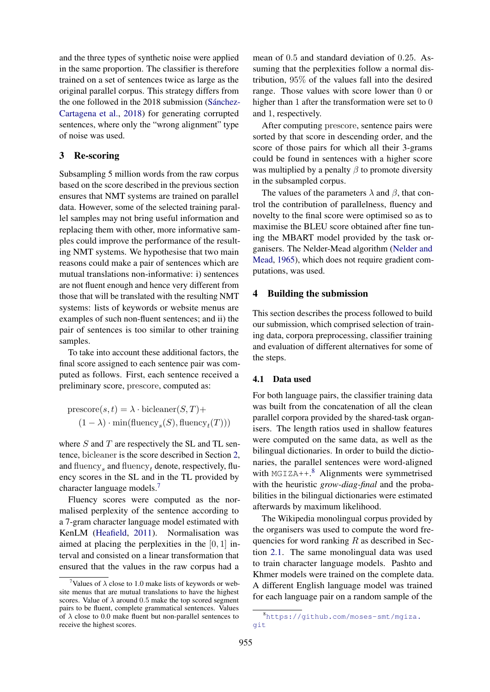and the three types of synthetic noise were applied in the same proportion. The classifier is therefore trained on a set of sentences twice as large as the original parallel corpus. This strategy differs from the one followed in the 2018 submission (Sánchez-[Cartagena et al.,](#page-6-0) [2018\)](#page-6-0) for generating corrupted sentences, where only the "wrong alignment" type of noise was used.

### <span id="page-3-0"></span>3 Re-scoring

Subsampling 5 million words from the raw corpus based on the score described in the previous section ensures that NMT systems are trained on parallel data. However, some of the selected training parallel samples may not bring useful information and replacing them with other, more informative samples could improve the performance of the resulting NMT systems. We hypothesise that two main reasons could make a pair of sentences which are mutual translations non-informative: i) sentences are not fluent enough and hence very different from those that will be translated with the resulting NMT systems: lists of keywords or website menus are examples of such non-fluent sentences; and ii) the pair of sentences is too similar to other training samples.

To take into account these additional factors, the final score assigned to each sentence pair was computed as follows. First, each sentence received a preliminary score, prescore, computed as:

$$
\begin{aligned} \text{prescore}(s,t) &= \lambda \cdot \text{bicleaner}(S,T) + \\ (1-\lambda) \cdot \min(\text{fluency}_s(S), \text{fluency}_t(T))) \end{aligned}
$$

where  $S$  and  $T$  are respectively the SL and TL sentence, bicleaner is the score described in Section [2,](#page-1-0) and fluency<sub>s</sub> and fluency<sub>t</sub> denote, respectively, fluency scores in the SL and in the TL provided by character language models.[7](#page-3-2)

Fluency scores were computed as the normalised perplexity of the sentence according to a 7-gram character language model estimated with KenLM [\(Heafield,](#page-6-7) [2011\)](#page-6-7). Normalisation was aimed at placing the perplexities in the [0, 1] interval and consisted on a linear transformation that ensured that the values in the raw corpus had a

mean of 0.5 and standard deviation of 0.25. Assuming that the perplexities follow a normal distribution, 95% of the values fall into the desired range. Those values with score lower than 0 or higher than 1 after the transformation were set to 0 and 1, respectively.

After computing prescore, sentence pairs were sorted by that score in descending order, and the score of those pairs for which all their 3-grams could be found in sentences with a higher score was multiplied by a penalty  $\beta$  to promote diversity in the subsampled corpus.

The values of the parameters  $\lambda$  and  $\beta$ , that control the contribution of parallelness, fluency and novelty to the final score were optimised so as to maximise the BLEU score obtained after fine tuning the MBART model provided by the task organisers. The Nelder-Mead algorithm [\(Nelder and](#page-6-8) [Mead,](#page-6-8) [1965\)](#page-6-8), which does not require gradient computations, was used.

#### <span id="page-3-1"></span>4 Building the submission

This section describes the process followed to build our submission, which comprised selection of training data, corpora preprocessing, classifier training and evaluation of different alternatives for some of the steps.

#### 4.1 Data used

For both language pairs, the classifier training data was built from the concatenation of all the clean parallel corpora provided by the shared-task organisers. The length ratios used in shallow features were computed on the same data, as well as the bilingual dictionaries. In order to build the dictionaries, the parallel sentences were word-aligned with MGIZA++.<sup>[8](#page-3-3)</sup> Alignments were symmetrised with the heuristic *grow-diag-final* and the probabilities in the bilingual dictionaries were estimated afterwards by maximum likelihood.

The Wikipedia monolingual corpus provided by the organisers was used to compute the word frequencies for word ranking  $R$  as described in Section [2.1.](#page-1-2) The same monolingual data was used to train character language models. Pashto and Khmer models were trained on the complete data. A different English language model was trained for each language pair on a random sample of the

<span id="page-3-2"></span><sup>&</sup>lt;sup>7</sup>Values of  $\lambda$  close to 1.0 make lists of keywords or website menus that are mutual translations to have the highest scores. Value of  $\lambda$  around 0.5 make the top scored segment pairs to be fluent, complete grammatical sentences. Values of  $\lambda$  close to 0.0 make fluent but non-parallel sentences to receive the highest scores.

<span id="page-3-3"></span><sup>8</sup>[https://github.com/moses-smt/mgiza.](https://github.com/moses-smt/mgiza.git) [git](https://github.com/moses-smt/mgiza.git)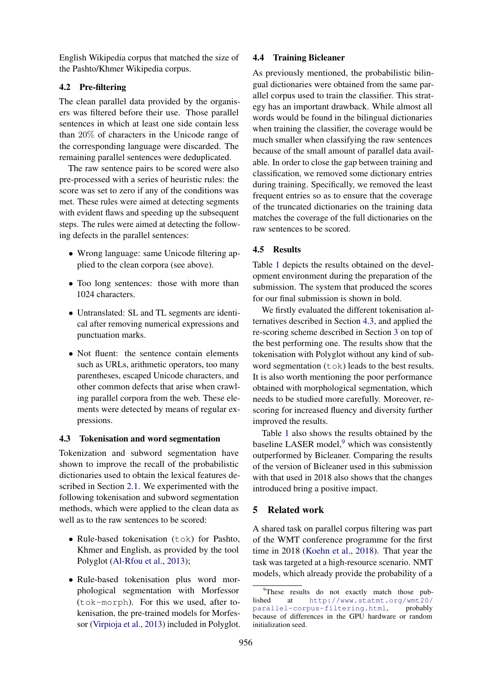English Wikipedia corpus that matched the size of the Pashto/Khmer Wikipedia corpus.

# 4.2 Pre-filtering

The clean parallel data provided by the organisers was filtered before their use. Those parallel sentences in which at least one side contain less than 20% of characters in the Unicode range of the corresponding language were discarded. The remaining parallel sentences were deduplicated.

The raw sentence pairs to be scored were also pre-processed with a series of heuristic rules: the score was set to zero if any of the conditions was met. These rules were aimed at detecting segments with evident flaws and speeding up the subsequent steps. The rules were aimed at detecting the following defects in the parallel sentences:

- Wrong language: same Unicode filtering applied to the clean corpora (see above).
- Too long sentences: those with more than 1024 characters.
- Untranslated: SL and TL segments are identical after removing numerical expressions and punctuation marks.
- Not fluent: the sentence contain elements such as URLs, arithmetic operators, too many parentheses, escaped Unicode characters, and other common defects that arise when crawling parallel corpora from the web. These elements were detected by means of regular expressions.

# <span id="page-4-1"></span>4.3 Tokenisation and word segmentation

Tokenization and subword segmentation have shown to improve the recall of the probabilistic dictionaries used to obtain the lexical features described in Section [2.1.](#page-1-2) We experimented with the following tokenisation and subword segmentation methods, which were applied to the clean data as well as to the raw sentences to be scored:

- Rule-based tokenisation (tok) for Pashto, Khmer and English, as provided by the tool Polyglot [\(Al-Rfou et al.,](#page-6-9) [2013\)](#page-6-9);
- Rule-based tokenisation plus word morphological segmentation with Morfessor (tok-morph). For this we used, after tokenisation, the pre-trained models for Morfessor [\(Virpioja et al.,](#page-6-10) [2013\)](#page-6-10) included in Polyglot.

#### 4.4 Training Bicleaner

As previously mentioned, the probabilistic bilingual dictionaries were obtained from the same parallel corpus used to train the classifier. This strategy has an important drawback. While almost all words would be found in the bilingual dictionaries when training the classifier, the coverage would be much smaller when classifying the raw sentences because of the small amount of parallel data available. In order to close the gap between training and classification, we removed some dictionary entries during training. Specifically, we removed the least frequent entries so as to ensure that the coverage of the truncated dictionaries on the training data matches the coverage of the full dictionaries on the raw sentences to be scored.

# 4.5 Results

Table [1](#page-5-0) depicts the results obtained on the development environment during the preparation of the submission. The system that produced the scores for our final submission is shown in bold.

We firstly evaluated the different tokenisation alternatives described in Section [4.3,](#page-4-1) and applied the re-scoring scheme described in Section [3](#page-3-0) on top of the best performing one. The results show that the tokenisation with Polyglot without any kind of subword segmentation  $(t \circ k)$  leads to the best results. It is also worth mentioning the poor performance obtained with morphological segmentation, which needs to be studied more carefully. Moreover, rescoring for increased fluency and diversity further improved the results.

Table [1](#page-5-0) also shows the results obtained by the baseline LASER model, $9$  which was consistently outperformed by Bicleaner. Comparing the results of the version of Bicleaner used in this submission with that used in 2018 also shows that the changes introduced bring a positive impact.

# <span id="page-4-0"></span>5 Related work

A shared task on parallel corpus filtering was part of the WMT conference programme for the first time in 2018 [\(Koehn et al.,](#page-6-11) [2018\)](#page-6-11). That year the task was targeted at a high-resource scenario. NMT models, which already provide the probability of a

<span id="page-4-2"></span><sup>&</sup>lt;sup>9</sup>These results do not exactly match those published at [http://www.statmt.org/wmt20/](http://www.statmt.org/wmt20/parallel-corpus-filtering.html) [parallel-corpus-filtering.html](http://www.statmt.org/wmt20/parallel-corpus-filtering.html), probably because of differences in the GPU hardware or random initialization seed.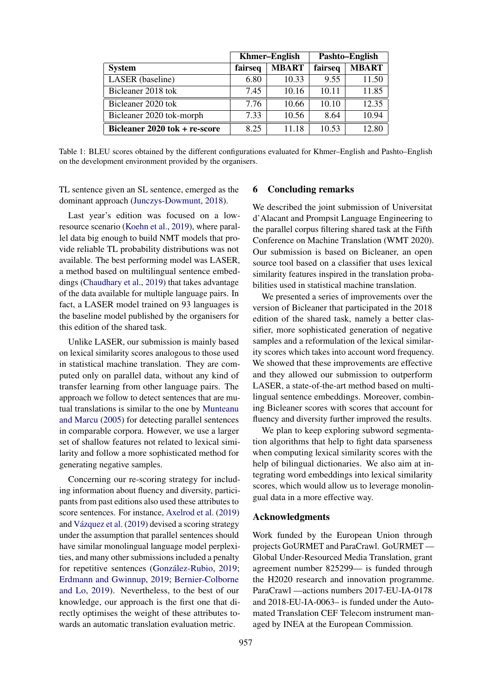<span id="page-5-0"></span>

|                               | <b>Khmer-English</b> |              | Pashto-English |              |
|-------------------------------|----------------------|--------------|----------------|--------------|
| <b>System</b>                 | fairseq              | <b>MBART</b> | fairseq        | <b>MBART</b> |
| LASER (baseline)              | 6.80                 | 10.33        | 9.55           | 11.50        |
| Bicleaner 2018 tok            | 7.45                 | 10.16        | 10.11          | 11.85        |
| Bicleaner 2020 tok            | 7.76                 | 10.66        | 10.10          | 12.35        |
| Bicleaner 2020 tok-morph      | 7.33                 | 10.56        | 8.64           | 10.94        |
| Bicleaner 2020 tok + re-score | 8.25                 | 11.18        | 10.53          | 12.80        |

Table 1: BLEU scores obtained by the different configurations evaluated for Khmer–English and Pashto–English on the development environment provided by the organisers.

TL sentence given an SL sentence, emerged as the dominant approach [\(Junczys-Dowmunt,](#page-6-12) [2018\)](#page-6-12).

Last year's edition was focused on a lowresource scenario [\(Koehn et al.,](#page-6-13) [2019\)](#page-6-13), where parallel data big enough to build NMT models that provide reliable TL probability distributions was not available. The best performing model was LASER, a method based on multilingual sentence embeddings [\(Chaudhary et al.,](#page-6-14) [2019\)](#page-6-14) that takes advantage of the data available for multiple language pairs. In fact, a LASER model trained on 93 languages is the baseline model published by the organisers for this edition of the shared task.

Unlike LASER, our submission is mainly based on lexical similarity scores analogous to those used in statistical machine translation. They are computed only on parallel data, without any kind of transfer learning from other language pairs. The approach we follow to detect sentences that are mutual translations is similar to the one by [Munteanu](#page-6-15) [and Marcu](#page-6-15) [\(2005\)](#page-6-15) for detecting parallel sentences in comparable corpora. However, we use a larger set of shallow features not related to lexical similarity and follow a more sophisticated method for generating negative samples.

Concerning our re-scoring strategy for including information about fluency and diversity, participants from past editions also used these attributes to score sentences. For instance, [Axelrod et al.](#page-6-16) [\(2019\)](#page-6-16) and Vázquez et al.  $(2019)$  devised a scoring strategy under the assumption that parallel sentences should have similar monolingual language model perplexities, and many other submissions included a penalty for repetitive sentences (González-Rubio, [2019;](#page-6-18) [Erdmann and Gwinnup,](#page-6-19) [2019;](#page-6-19) [Bernier-Colborne](#page-6-20) [and Lo,](#page-6-20) [2019\)](#page-6-20). Nevertheless, to the best of our knowledge, our approach is the first one that directly optimises the weight of these attributes towards an automatic translation evaluation metric.

#### 6 Concluding remarks

We described the joint submission of Universitat d'Alacant and Prompsit Language Engineering to the parallel corpus filtering shared task at the Fifth Conference on Machine Translation (WMT 2020). Our submission is based on Bicleaner, an open source tool based on a classifier that uses lexical similarity features inspired in the translation probabilities used in statistical machine translation.

We presented a series of improvements over the version of Bicleaner that participated in the 2018 edition of the shared task, namely a better classifier, more sophisticated generation of negative samples and a reformulation of the lexical similarity scores which takes into account word frequency. We showed that these improvements are effective and they allowed our submission to outperform LASER, a state-of-the-art method based on multilingual sentence embeddings. Moreover, combining Bicleaner scores with scores that account for fluency and diversity further improved the results.

We plan to keep exploring subword segmentation algorithms that help to fight data sparseness when computing lexical similarity scores with the help of bilingual dictionaries. We also aim at integrating word embeddings into lexical similarity scores, which would allow us to leverage monolingual data in a more effective way.

#### Acknowledgments

Work funded by the European Union through projects GoURMET and ParaCrawl. GoURMET — Global Under-Resourced Media Translation, grant agreement number 825299— is funded through the H2020 research and innovation programme. ParaCrawl —actions numbers 2017-EU-IA-0178 and 2018-EU-IA-0063– is funded under the Automated Translation CEF Telecom instrument managed by INEA at the European Commission.